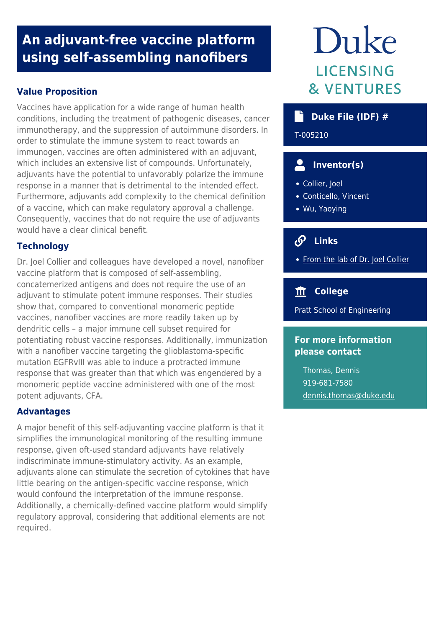# **An adjuvant-free vaccine platform using self-assembling nanofibers**

# **Value Proposition**

Vaccines have application for a wide range of human health conditions, including the treatment of pathogenic diseases, cancer immunotherapy, and the suppression of autoimmune disorders. In order to stimulate the immune system to react towards an immunogen, vaccines are often administered with an adjuvant, which includes an extensive list of compounds. Unfortunately, adjuvants have the potential to unfavorably polarize the immune response in a manner that is detrimental to the intended effect. Furthermore, adjuvants add complexity to the chemical definition of a vaccine, which can make regulatory approval a challenge. Consequently, vaccines that do not require the use of adjuvants would have a clear clinical benefit.

# **Technology**

Dr. Joel Collier and colleagues have developed a novel, nanofiber vaccine platform that is composed of self-assembling, concatemerized antigens and does not require the use of an adjuvant to stimulate potent immune responses. Their studies show that, compared to conventional monomeric peptide vaccines, nanofiber vaccines are more readily taken up by dendritic cells – a major immune cell subset required for potentiating robust vaccine responses. Additionally, immunization with a nanofiber vaccine targeting the glioblastoma-specific mutation EGFRvIII was able to induce a protracted immune response that was greater than that which was engendered by a monomeric peptide vaccine administered with one of the most potent adjuvants, CFA.

# **Advantages**

A major benefit of this self-adjuvanting vaccine platform is that it simplifies the immunological monitoring of the resulting immune response, given oft-used standard adjuvants have relatively indiscriminate immune-stimulatory activity. As an example, adjuvants alone can stimulate the secretion of cytokines that have little bearing on the antigen-specific vaccine response, which would confound the interpretation of the immune response. Additionally, a chemically-defined vaccine platform would simplify regulatory approval, considering that additional elements are not required.

# Duke **LICENSING & VENTURES**

# **Duke File (IDF) #**

T-005210

# **Inventor(s)**

- Collier, Joel
- Conticello, Vincent
- Wu, Yaoying

#### $\mathcal{S}$  **Links**

• [From the lab of Dr. Joel Collier](https://collier.pratt.duke.edu/)

# **College**

Pratt School of Engineering

# **For more information please contact**

Thomas, Dennis 919-681-7580 [dennis.thomas@duke.edu](mailto:dennis.thomas@duke.edu)